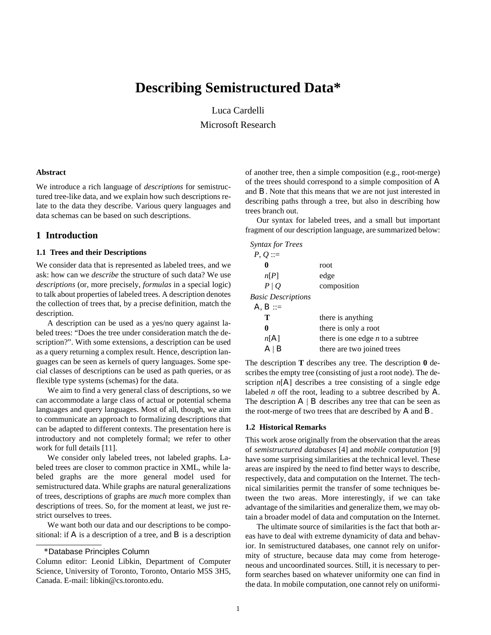# **Describing Semistructured Data\***

Luca Cardelli

Microsoft Research

#### **Abstract**

We introduce a rich language of *descriptions* for semistructured tree-like data, and we explain how such descriptions relate to the data they describe. Various query languages and data schemas can be based on such descriptions.

#### **1 Introduction**

#### **1.1 Trees and their Descriptions**

We consider data that is represented as labeled trees, and we ask: how can we *describe* the structure of such data? We use *descriptions* (or, more precisely, *formulas* in a special logic) to talk about properties of labeled trees. A description denotes the collection of trees that, by a precise definition, match the description.

A description can be used as a yes/no query against labeled trees: "Does the tree under consideration match the description?". With some extensions, a description can be used as a query returning a complex result. Hence, description languages can be seen as kernels of query languages. Some special classes of descriptions can be used as path queries, or as flexible type systems (schemas) for the data.

We aim to find a very general class of descriptions, so we can accommodate a large class of actual or potential schema languages and query languages. Most of all, though, we aim to communicate an approach to formalizing descriptions that can be adapted to different contexts. The presentation here is introductory and not completely formal; we refer to other work for full details [11].

We consider only labeled trees, not labeled graphs. Labeled trees are closer to common practice in XML, while labeled graphs are the more general model used for semistructured data. While graphs are natural generalizations of trees, descriptions of graphs are *much* more complex than descriptions of trees. So, for the moment at least, we just restrict ourselves to trees.

We want both our data and our descriptions to be compositional: if *A* is a description of a tree, and *B* is a description of another tree, then a simple composition (e.g., root-merge) of the trees should correspond to a simple composition of *A* and *B*. Note that this means that we are not just interested in describing paths through a tree, but also in describing how trees branch out.

Our syntax for labeled trees, and a small but important fragment of our description language, are summarized below:

| Syntax for Trees          |                                    |
|---------------------------|------------------------------------|
| $P, Q ::=$                |                                    |
|                           | root                               |
| n[P]                      | edge                               |
| $P \mid Q$                | composition                        |
| <i>Basic Descriptions</i> |                                    |
| $A, B ::=$                |                                    |
| Т                         | there is anything                  |
| 0                         | there is only a root               |
| n[A]                      | there is one edge $n$ to a subtree |
| Α                         | there are two joined trees         |

The description **T** describes any tree. The description **0** describes the empty tree (consisting of just a root node). The description  $n[A]$  describes a tree consisting of a single edge labeled *n* off the root, leading to a subtree described by *A*. The description  $A / B$  describes any tree that can be seen as the root-merge of two trees that are described by *A* and *B*.

#### **1.2 Historical Remarks**

This work arose originally from the observation that the areas of *semistructured databases* [4] and *mobile computation* [9] have some surprising similarities at the technical level. These areas are inspired by the need to find better ways to describe, respectively, data and computation on the Internet. The technical similarities permit the transfer of some techniques between the two areas. More interestingly, if we can take advantage of the similarities and generalize them, we may obtain a broader model of data and computation on the Internet.

The ultimate source of similarities is the fact that both areas have to deal with extreme dynamicity of data and behavior. In semistructured databases, one cannot rely on uniformity of structure, because data may come from heterogeneous and uncoordinated sources. Still, it is necessary to perform searches based on whatever uniformity one can find in the data. In mobile computation, one cannot rely on uniformi-

<sup>\*</sup>Database Principles Column

Column editor: Leonid Libkin, Department of Computer Science, University of Toronto, Toronto, Ontario M5S 3H5, Canada. E-mail: libkin@cs.toronto.edu.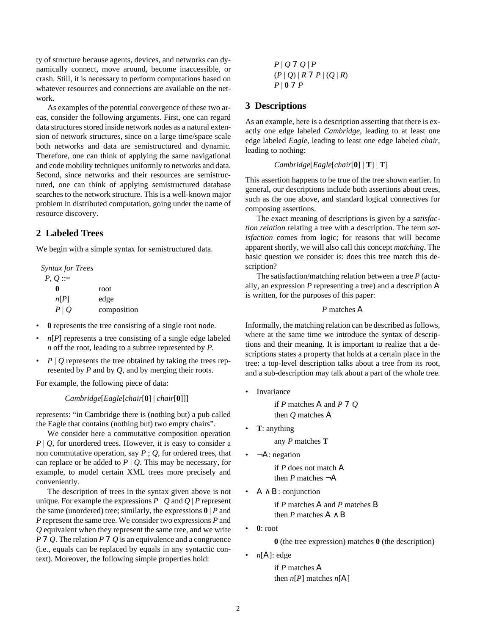ty of structure because agents, devices, and networks can dynamically connect, move around, become inaccessible, or crash. Still, it is necessary to perform computations based on whatever resources and connections are available on the network.

As examples of the potential convergence of these two areas, consider the following arguments. First, one can regard data structures stored inside network nodes as a natural extension of network structures, since on a large time/space scale both networks and data are semistructured and dynamic. Therefore, one can think of applying the same navigational and code mobility techniques uniformly to networks and data. Second, since networks and their resources are semistructured, one can think of applying semistructured database searches to the network structure. This is a well-known major problem in distributed computation, going under the name of resource discovery.

# **2 Labeled Trees**

We begin with a simple syntax for semistructured data.

*Syntax for Trees*  $P, Q ::=$ **0** *n*[*P*] *P* | *Q* root edge composition

- **0** represents the tree consisting of a single root node.
- $n[P]$  represents a tree consisting of a single edge labeled *n* off the root, leading to a subtree represented by *P*.
- $P \mid Q$  represents the tree obtained by taking the trees represented by *P* and by *Q*, and by merging their roots.

For example, the following piece of data:

*Cambridge*[*Eagle*[*chair*[**0**] | *chair*[**0**]]]

represents: "in Cambridge there is (nothing but) a pub called the Eagle that contains (nothing but) two empty chairs".

We consider here a commutative composition operation  $P \mid Q$ , for unordered trees. However, it is easy to consider a non commutative operation, say *P* ; *Q*, for ordered trees, that can replace or be added to  $P \mid Q$ . This may be necessary, for example, to model certain XML trees more precisely and conveniently.

The description of trees in the syntax given above is not unique. For example the expressions  $P \mid Q$  and  $Q \mid P$  represent the same (unordered) tree; similarly, the expressions **0** | *P* and *P* represent the same tree. We consider two expressions *P* and *Q* equivalent when they represent the same tree, and we write *P* 7 *Q*. The relation *P* 7 *Q* is an equivalence and a congruence (i.e., equals can be replaced by equals in any syntactic context). Moreover, the following simple properties hold:

*P* | *Q* 7 *Q* | *P*  $(P | Q) | R 7 P | (Q | R)$ *P* | **0** 7 *P*

#### **3 Descriptions**

As an example, here is a description asserting that there is exactly one edge labeled *Cambridge*, leading to at least one edge labeled *Eagle*, leading to least one edge labeled *chair*, leading to nothing:

#### *Cambridge*[*Eagle*[*chair*[**0**] | **T**] | **T**]

This assertion happens to be true of the tree shown earlier. In general, our descriptions include both assertions about trees, such as the one above, and standard logical connectives for composing assertions.

The exact meaning of descriptions is given by a *satisfaction relation* relating a tree with a description. The term *satisfaction* comes from logic; for reasons that will become apparent shortly, we will also call this concept *matching*. The basic question we consider is: does this tree match this description?

The satisfaction/matching relation between a tree *P* (actually, an expression *P* representing a tree) and a description *A* is written, for the purposes of this paper:

### *P* matches *A*

Informally, the matching relation can be described as follows, where at the same time we introduce the syntax of descriptions and their meaning. It is important to realize that a descriptions states a property that holds at a certain place in the tree: a top-level description talks about a tree from its root, and a sub-description may talk about a part of the whole tree.

• Invariance

if *P* matches *A* and *P* 7 *Q* then *Q* matches *A*

• **T**: anything

any *P* matches **T**

 $\neg A$ : negation

if *P* does not match *A* then *P* matches  $\neg A$ 

• *A* ∧ *B*: conjunction

if *P* matches *A* and *P* matches *B* then *P* matches  $A \wedge B$ 

• **0**: root

**0** (the tree expression) matches **0** (the description)

•  $n[A]$ : edge

if *P* matches *A*  then  $n[P]$  matches  $n[A]$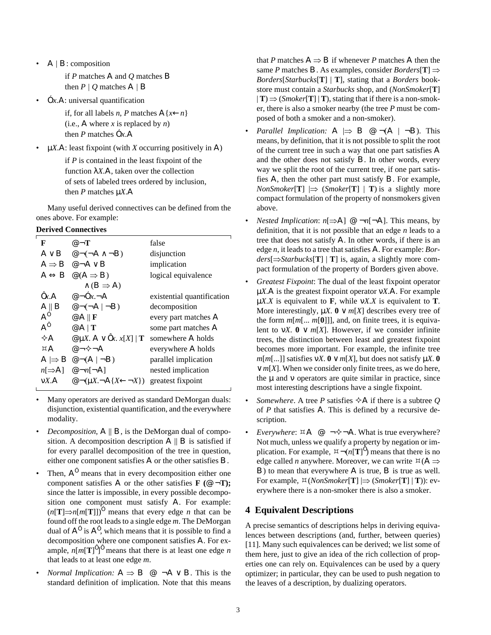•  $A/B$ : composition

if *P* matches *A* and *Q* matches *B* then  $P / Q$  matches  $A / B$ 

• Ó*x*.*A*: universal quantification

if, for all labels *n*, *P* matches  $A\{x \leftarrow n\}$ (i.e., *A* where *x* is replaced by *n*) then *P* matches Ó*x*.*A*

 $\mu X.A$ : least fixpoint (with *X* occurring positively in *A*)

if *P* is contained in the least fixpoint of the function  $\lambda X.A$ , taken over the collection of sets of labeled trees ordered by inclusion, then *P* matches µ*X*.*A*

Many useful derived connectives can be defined from the ones above. For example:

### **Derived Connectives**

| F                 | $\mathcal{Q}$ $\neg$ <b>T</b>                                             | false                      |
|-------------------|---------------------------------------------------------------------------|----------------------------|
|                   | $A \vee B$ $\otimes \neg(\neg A \wedge \neg B)$                           | disjunction                |
|                   | $A \Rightarrow B \circ A \vee B$                                          | implication                |
|                   | $A \Leftrightarrow B \ @ (A \Rightarrow B)$                               | logical equivalence        |
|                   | $\wedge$ ( $B \Rightarrow A$ )                                            |                            |
| 0x.A              | $\mathcal{Q}$ $\neg$ Ox $\neg$ A                                          | existential quantification |
| $A \parallel B$   | $\varpi \neg (\neg A \mid \neg B)$                                        | decomposition              |
| $A^{\circ}$       | $@A \parallel \mathbf{F}$                                                 | every part matches A       |
| $A^0$             | @A T                                                                      | some part matches A        |
| $\diamond A$      | @ $\mu X$ . $A \vee 0x$ . $x[X]   T$ somewhere A holds                    |                            |
| ¤А                | @ $\neg \diamond$ $\neg A$                                                | everywhere A holds         |
|                   | $A \rightrightarrows B \circ (A \rightrightarrows B)$                     | parallel implication       |
| $n \rightarrow A$ | $\mathcal{Q} \neg n[\neg A]$                                              | nested implication         |
| $\nu X.A$         | $\mathcal{Q}$ $\neg(\mu X.\neg A\{X\leftarrow\neg X\})$ greatest fixpoint |                            |

- Many operators are derived as standard DeMorgan duals: disjunction, existential quantification, and the everywhere modality.
- *Decomposition, A* || *B*, is the DeMorgan dual of composition. A decomposition description  $A \parallel B$  is satisfied if for every parallel decomposition of the tree in question, either one component satisfies *A* or the other satisfies *B*.
- Then,  $A^0$  means that in every decomposition either one component satisfies  $\vec{A}$  or the other satisfies  $\vec{F}$  ( $\mathcal{Q}$   $\neg$ **T)**; since the latter is impossible, in every possible decomposition one component must satisfy *A*. For example:  $(n[T] \Rightarrow n[m[T]])^{\circ}$  means that every edge *n* that can be found off the root leads to a single edge *m*. The DeMorgan dual of *A*<sup>Ó</sup> is *A*<sup>Ô</sup> , which means that it is possible to find a decomposition where one component satisfies *A*. For example,  $n[m[T]^{0}]^{0}$  means that there is at least one edge *n* that leads to at least one edge *m*.
- *Normal Implication:*  $A \Rightarrow B \text{ } \textcircled{e} \text{ } \neg A \vee B$ . This is the standard definition of implication. Note that this means

that *P* matches  $A \Rightarrow B$  if whenever *P* matches *A* then the same *P* matches *B*. As examples, consider *Borders*[**T**] ⇒ *Borders*[*Starbucks*[**T**] | **T**], stating that a *Borders* bookstore must contain a *Starbucks* shop, and (*NonSmoker*[**T**]  $|T| \Rightarrow (Smoker[T] | T)$ , stating that if there is a non-smoker, there is also a smoker nearby (the tree *P* must be composed of both a smoker and a non-smoker).

- *Parallel Implication:*  $A \Rightarrow B \circ (A \mid \neg B)$ . This means, by definition, that it is not possible to split the root of the current tree in such a way that one part satisfies *A* and the other does not satisfy *B*. In other words, every way we split the root of the current tree, if one part satisfies *A*, then the other part must satisfy *B*. For example, *NonSmoker*[**T**]  $\Rightarrow$  (*Smoker*[**T**] | **T**) is a slightly more compact formulation of the property of nonsmokers given above.
- *Nested Implication:*  $n[\Rightarrow A] \ @ \neg n[\neg A]$ . This means, by definition, that it is not possible that an edge *n* leads to a tree that does not satisfy *A*. In other words, if there is an edge *n*, it leads to a tree that satisfies *A*. For example: *Borders*[⇒*Starbucks*[**T**] | **T**] is, again, a slightly more compact formulation of the property of Borders given above.
- *Greatest Fixpoint*: The dual of the least fixpoint operator µ*X*.*A* is the greatest fixpoint operator ν*X*.*A*. For example µ*X*.*X* is equivalent to **F**, while ν*X*.*X* is equivalent to **T**. More interestingly,  $\mu X$ .  $\mathbf{0} \vee m[X]$  describes every tree of the form *m*[*m*[... *m*[**0**]]], and, on finite trees, it is equivalent to *vX*.  $\mathbf{0} \vee m[X]$ . However, if we consider infinite trees, the distinction between least and greatest fixpoint becomes more important. For example, the infinite tree  $m[m[...]$  satisfies v*X*.  $\mathbf{0} \vee m[X]$ , but does not satisfy  $\mu X$ .  $\mathbf{0}$ ∨ *m*[*X*]. When we consider only finite trees, as we do here, the  $\mu$  and  $\nu$  operators are quite similar in practice, since most interesting descriptions have a single fixpoint.
- *Somewhere.* A tree *P* satisfies  $\Diamond A$  if there is a subtree *Q* of *P* that satisfies *A*. This is defined by a recursive description.
- *Everywhere*:  $\forall A \ @ \neg \Diamond \neg A$ . What is true everywhere? Not much, unless we qualify a property by negation or implication. For example,  $\forall^{-n}(n[\mathbf{T}]^0)$  means that there is no edge called *n* anywhere. Moreover, we can write  $\Box(A \Rightarrow$ *B*) to mean that everywhere *A* is true, *B* is true as well. For example,  $\Xi$  (*NonSmoker*[**T**]  $\Rightarrow$  (*Smoker*[**T**] | **T**)): everywhere there is a non-smoker there is also a smoker.

# **4 Equivalent Descriptions**

A precise semantics of descriptions helps in deriving equivalences between descriptions (and, further, between queries) [11]. Many such equivalences can be derived; we list some of them here, just to give an idea of the rich collection of properties one can rely on. Equivalences can be used by a query optimizer; in particular, they can be used to push negation to the leaves of a description, by dualizing operators.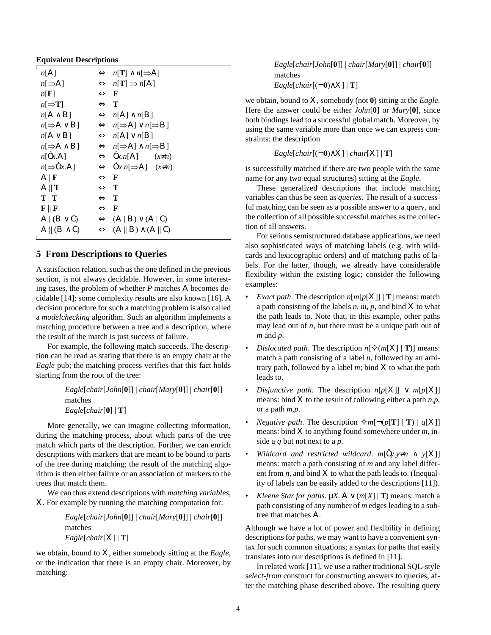| n[A]                        | $\Leftrightarrow n[T] \wedge n[\Rightarrow A]$             |
|-----------------------------|------------------------------------------------------------|
| $n \rightarrow A$           | $\Leftrightarrow n[T] \Rightarrow n[A]$                    |
| n[F]                        | $\Leftrightarrow$ F                                        |
| $n \rightarrow T$           | $\Leftrightarrow$ T                                        |
| $n[A \wedge B]$             | $\Leftrightarrow n[A] \wedge n[B]$                         |
| $n \rightarrow A \vee B$    | $\Leftrightarrow n[\Rightarrow A] \vee n[\Rightarrow B]$   |
| $n[A \vee B]$               | $\Leftrightarrow n[A] \vee n[B]$                           |
| $n \rightarrow A \wedge B$  | $\Leftrightarrow n[\Rightarrow A] \wedge n[\Rightarrow B]$ |
| n[0x.A]                     | $\Leftrightarrow$ $\mathbf{0}x.n[A]$ $(x\neq n)$           |
| $n \rightarrow \text{O}x.A$ | $\Leftrightarrow$ $\Delta x.n[\Rightarrow A]$ $(x\neq n)$  |
| $A \, \, \mathbf{F}$        | $\Leftrightarrow$ F                                        |
| $A \parallel T$             | $\Leftrightarrow$ T                                        |
| T   T                       | $\Leftrightarrow$ T                                        |
| ${\bf F} \parallel {\bf F}$ | $\Leftrightarrow$ F                                        |
| $A (B\vee C)$               | $\Leftrightarrow$ $(A B) \vee (A C)$                       |
| $A \parallel (B \wedge C)$  | $\Leftrightarrow$ $(A \parallel B) \wedge (A \parallel C)$ |
|                             |                                                            |

## **5 From Descriptions to Queries**

A satisfaction relation, such as the one defined in the previous section, is not always decidable. However, in some interesting cases, the problem of whether *P* matches *A* becomes decidable [14]; some complexity results are also known [16]. A decision procedure for such a matching problem is also called a *modelchecking* algorithm. Such an algorithm implements a matching procedure between a tree and a description, where the result of the match is just success of failure.

For example, the following match succeeds. The description can be read as stating that there is an empty chair at the *Eagle* pub; the matching process verifies that this fact holds starting from the root of the tree:

> *Eagle*[*chair*[*John*[**0**]] | *chair*[*Mary*[**0**]] | *chair*[**0**]] matches *Eagle*[*chair*[**0**] | **T**]

More generally, we can imagine collecting information, during the matching process, about which parts of the tree match which parts of the description. Further, we can enrich descriptions with markers that are meant to be bound to parts of the tree during matching; the result of the matching algorithm is then either failure or an association of markers to the trees that match them.

We can thus extend descriptions with *matching variables*, *X*. For example by running the matching computation for:

> *Eagle*[*chair*[*John*[**0**]] | *chair*[*Mary*[**0**]] | *chair*[**0**]] matches *Eagle*[*chair*[*X*] | **T**]

we obtain, bound to *X*, either somebody sitting at the *Eagle*, or the indication that there is an empty chair. Moreover, by matching:

*Eagle*[*chair*[*John*[**0**]] | *chair*[*Mary*[**0**]] | *chair*[**0**]] matches  $Eagle[chair[(-0) \wedge X] | T]$ 

we obtain, bound to *X*, somebody (not **0**) sitting at the *Eagle*. Here the answer could be either *John*[**0**] or *Mary*[**0**], since both bindings lead to a successful global match. Moreover, by using the same variable more than once we can express constraints: the description

 $Eagle[chair[(-0) \wedge X] | chair[X] | T]$ 

is successfully matched if there are two people with the same name (or any two equal structures) sitting at the *Eagle*.

These generalized descriptions that include matching variables can thus be seen as *queries*. The result of a successful matching can be seen as a possible answer to a query, and the collection of all possible successful matches as the collection of all answers.

For serious semistructured database applications, we need also sophisticated ways of matching labels (e.g. with wildcards and lexicographic orders) and of matching paths of labels. For the latter, though, we already have considerable flexibility within the existing logic; consider the following examples:

- *Exact path.* The description  $n[m[p[X]] | T]$  means: match a path consisting of the labels *n*, *m*, *p*, and bind *X* to what the path leads to. Note that, in this example, other paths may lead out of *n*, but there must be a unique path out of *m* and *p*.
- *Dislocated path.* The description  $n[\diamond (m[X] | T)]$  means: match a path consisting of a label *n*, followed by an arbitrary path, followed by a label *m*; bind *X* to what the path leads to.
- *Disjunctive path.* The description  $n[p[X]] \vee m[p[X]]$ means: bind *X* to the result of following either a path *n*,*p*, or a path *m*,*p*.
- *Negative path.* The description  $\forall m[\neg(p[T] | T) | q[X]]$ means: bind *X* to anything found somewhere under *m*, inside a *q* but not next to a *p*.
- *Wildcard and restricted wildcard*. *m*[Ô*y.y*≠*n* ∧ *y*[*X*]] means: match a path consisting of *m* and any label different from  $n$ , and bind  $X$  to what the path leads to. (Inequality of labels can be easily added to the descriptions [11]).
- *Kleene Star for paths.*  $\mu X$ .  $A \vee (m[X] | T)$  means: match a path consisting of any number of *m* edges leading to a subtree that matches *A*.

Although we have a lot of power and flexibility in defining descriptions for paths, we may want to have a convenient syntax for such common situations; a syntax for paths that easily translates into our descriptions is defined in [11].

In related work [11], we use a rather traditional SQL-style *select-from* construct for constructing answers to queries, after the matching phase described above. The resulting query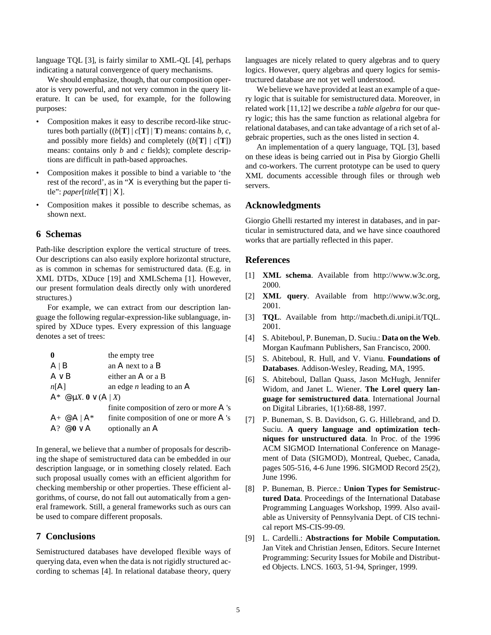language TQL [3], is fairly similar to XML-QL [4], perhaps indicating a natural convergence of query mechanisms.

We should emphasize, though, that our composition operator is very powerful, and not very common in the query literature. It can be used, for example, for the following purposes:

- Composition makes it easy to describe record-like structures both partially  $((b[T] | c[T] | T)$  means: contains *b*, *c*, and possibly more fields) and completely  $((b[T] | c[T])$ means: contains only *b* and *c* fields); complete descriptions are difficult in path-based approaches.
- Composition makes it possible to bind a variable to 'the rest of the record', as in " $X$  is everything but the paper title": *paper*[*title*[**T**] | *X*].
- Composition makes it possible to describe schemas, as shown next.

## **6 Schemas**

Path-like description explore the vertical structure of trees. Our descriptions can also easily explore horizontal structure, as is common in schemas for semistructured data. (E.g. in XML DTDs, XDuce [19] and XMLSchema [1]. However, our present formulation deals directly only with unordered structures.)

For example, we can extract from our description language the following regular-expression-like sublanguage, inspired by XDuce types. Every expression of this language denotes a set of trees:

|                                           | the empty tree                                |  |
|-------------------------------------------|-----------------------------------------------|--|
| $A \mid B$                                | an A next to a $B$                            |  |
| $A \vee B$                                | either an $A$ or a B                          |  |
| n[A]                                      | an edge <i>n</i> leading to an $\overline{A}$ |  |
| $A^* \otimes \mu X$ . $0 \vee (A \mid X)$ |                                               |  |
|                                           | finite composition of zero or more $A$ 's     |  |
| $A_+ \otimes A \mid A^*$                  | finite composition of one or more $A$ 's      |  |
| $A$ ? $@0 \vee A$                         | optionally an A                               |  |

In general, we believe that a number of proposals for describing the shape of semistructured data can be embedded in our description language, or in something closely related. Each such proposal usually comes with an efficient algorithm for checking membership or other properties. These efficient algorithms, of course, do not fall out automatically from a general framework. Still, a general frameworks such as ours can be used to compare different proposals.

## **7 Conclusions**

Semistructured databases have developed flexible ways of querying data, even when the data is not rigidly structured according to schemas [4]. In relational database theory, query languages are nicely related to query algebras and to query logics. However, query algebras and query logics for semistructured database are not yet well understood.

We believe we have provided at least an example of a query logic that is suitable for semistructured data. Moreover, in related work [11,12] we describe a *table algebra* for our query logic; this has the same function as relational algebra for relational databases, and can take advantage of a rich set of algebraic properties, such as the ones listed in section 4.

An implementation of a query language, TQL [3], based on these ideas is being carried out in Pisa by Giorgio Ghelli and co-workers. The current prototype can be used to query XML documents accessible through files or through web servers.

#### **Acknowledgments**

Giorgio Ghelli restarted my interest in databases, and in particular in semistructured data, and we have since coauthored works that are partially reflected in this paper.

#### **References**

- [1] **XML schema**. Available from http://www.w3c.org, 2000.
- [2] **XML query**. Available from http://www.w3c.org, 2001.
- [3] **TQL**. Available from http://macbeth.di.unipi.it/TQL. 2001.
- [4] S. Abiteboul, P. Buneman, D. Suciu.: **Data on the Web**. Morgan Kaufmann Publishers, San Francisco, 2000.
- [5] S. Abiteboul, R. Hull, and V. Vianu. **Foundations of Databases**. Addison-Wesley, Reading, MA, 1995.
- [6] S. Abiteboul, Dallan Quass, Jason McHugh, Jennifer Widom, and Janet L. Wiener. **The Lorel query language for semistructured data**. International Journal on Digital Libraries, 1(1):68-88, 1997.
- [7] P. Buneman, S. B. Davidson, G. G. Hillebrand, and D. Suciu. **A query language and optimization techniques for unstructured data**. In Proc. of the 1996 ACM SIGMOD International Conference on Management of Data (SIGMOD), Montreal, Quebec, Canada, pages 505-516, 4-6 June 1996. SIGMOD Record 25(2), June 1996.
- [8] P. Buneman, B. Pierce.: **Union Types for Semistructured Data**. Proceedings of the International Database Programming Languages Workshop, 1999. Also available as University of Pennsylvania Dept. of CIS technical report MS-CIS-99-09.
- [9] L. Cardelli.: **Abstractions for Mobile Computation.** Jan Vitek and Christian Jensen, Editors. Secure Internet Programming: Security Issues for Mobile and Distributed Objects. LNCS. 1603, 51-94, Springer, 1999.